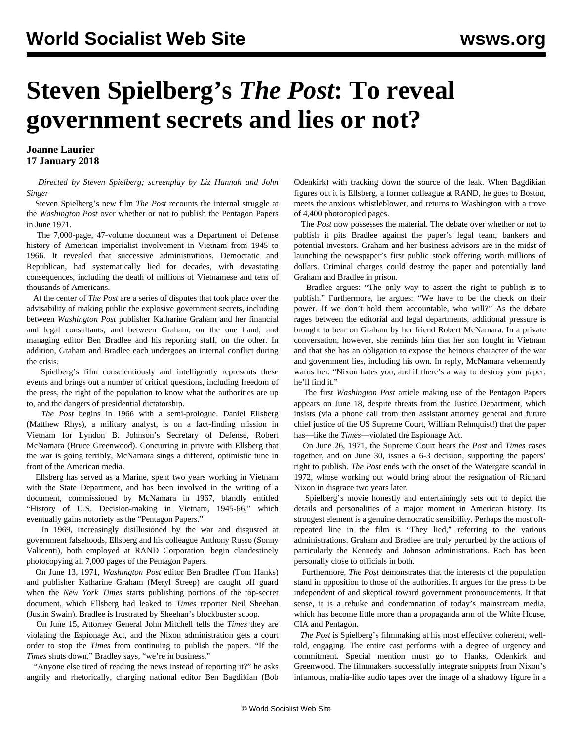## **Steven Spielberg's** *The Post***: To reveal government secrets and lies or not?**

**Joanne Laurier 17 January 2018**

 *Directed by Steven Spielberg; screenplay by Liz Hannah and John Singer*

 Steven Spielberg's new film *The Post* recounts the internal struggle at the *Washington Post* over whether or not to publish the Pentagon Papers in June 1971.

 The 7,000-page, 47-volume document was a Department of Defense history of American imperialist involvement in Vietnam from 1945 to 1966. It revealed that successive administrations, Democratic and Republican, had systematically lied for decades, with devastating consequences, including the death of millions of Vietnamese and tens of thousands of Americans.

 At the center of *The Post* are a series of disputes that took place over the advisability of making public the explosive government secrets, including between *Washington Post* publisher Katharine Graham and her financial and legal consultants, and between Graham, on the one hand, and managing editor Ben Bradlee and his reporting staff, on the other. In addition, Graham and Bradlee each undergoes an internal conflict during the crisis.

 Spielberg's film conscientiously and intelligently represents these events and brings out a number of critical questions, including freedom of the press, the right of the population to know what the authorities are up to, and the dangers of presidential dictatorship.

 *The Post* begins in 1966 with a semi-prologue. Daniel Ellsberg (Matthew Rhys), a military analyst, is on a fact-finding mission in Vietnam for Lyndon B. Johnson's Secretary of Defense, Robert McNamara (Bruce Greenwood). Concurring in private with Ellsberg that the war is going terribly, McNamara sings a different, optimistic tune in front of the American media.

 Ellsberg has served as a Marine, spent two years working in Vietnam with the State Department, and has been involved in the writing of a document, commissioned by McNamara in 1967, blandly entitled "History of U.S. Decision-making in Vietnam, 1945-66," which eventually gains notoriety as the "Pentagon Papers."

 In 1969, increasingly disillusioned by the war and disgusted at government falsehoods, Ellsberg and his colleague Anthony Russo (Sonny Valicenti), both employed at RAND Corporation, begin clandestinely photocopying all 7,000 pages of the Pentagon Papers.

 On June 13, 1971, *Washington Post* editor Ben Bradlee (Tom Hanks) and publisher Katharine Graham (Meryl Streep) are caught off guard when the *New York Times* starts publishing portions of the top-secret document, which Ellsberg had leaked to *Times* reporter Neil Sheehan (Justin Swain). Bradlee is frustrated by Sheehan's blockbuster scoop.

 On June 15, Attorney General John Mitchell tells the *Times* they are violating the Espionage Act, and the Nixon administration gets a court order to stop the *Times* from continuing to publish the papers. "If the *Times* shuts down," Bradley says, "we're in business."

 "Anyone else tired of reading the news instead of reporting it?" he asks angrily and rhetorically, charging national editor Ben Bagdikian (Bob

Odenkirk) with tracking down the source of the leak. When Bagdikian figures out it is Ellsberg, a former colleague at RAND, he goes to Boston, meets the anxious whistleblower, and returns to Washington with a trove of 4,400 photocopied pages.

 The *Post* now possesses the material. The debate over whether or not to publish it pits Bradlee against the paper's legal team, bankers and potential investors. Graham and her business advisors are in the midst of launching the newspaper's first public stock offering worth millions of dollars. Criminal charges could destroy the paper and potentially land Graham and Bradlee in prison.

 Bradlee argues: "The only way to assert the right to publish is to publish." Furthermore, he argues: "We have to be the check on their power. If we don't hold them accountable, who will?" As the debate rages between the editorial and legal departments, additional pressure is brought to bear on Graham by her friend Robert McNamara. In a private conversation, however, she reminds him that her son fought in Vietnam and that she has an obligation to expose the heinous character of the war and government lies, including his own. In reply, McNamara vehemently warns her: "Nixon hates you, and if there's a way to destroy your paper, he'll find it."

 The first *Washington Post* article making use of the Pentagon Papers appears on June 18, despite threats from the Justice Department, which insists (via a phone call from then assistant attorney general and future chief justice of the US Supreme Court, William Rehnquist!) that the paper has—like the *Times*—violated the Espionage Act.

 On June 26, 1971, the Supreme Court hears the *Post* and *Times* cases together, and on June 30, issues a 6-3 decision, supporting the papers' right to publish. *The Post* ends with the onset of the Watergate scandal in 1972, whose working out would bring about the resignation of Richard Nixon in disgrace two years later.

 Spielberg's movie honestly and entertainingly sets out to depict the details and personalities of a major moment in American history. Its strongest element is a genuine democratic sensibility. Perhaps the most oftrepeated line in the film is "They lied," referring to the various administrations. Graham and Bradlee are truly perturbed by the actions of particularly the Kennedy and Johnson administrations. Each has been personally close to officials in both.

 Furthermore, *The Post* demonstrates that the interests of the population stand in opposition to those of the authorities. It argues for the press to be independent of and skeptical toward government pronouncements. It that sense, it is a rebuke and condemnation of today's mainstream media, which has become little more than a propaganda arm of the White House, CIA and Pentagon.

 *The Post* is Spielberg's filmmaking at his most effective: coherent, welltold, engaging. The entire cast performs with a degree of urgency and commitment. Special mention must go to Hanks, Odenkirk and Greenwood. The filmmakers successfully integrate snippets from Nixon's infamous, mafia-like audio tapes over the image of a shadowy figure in a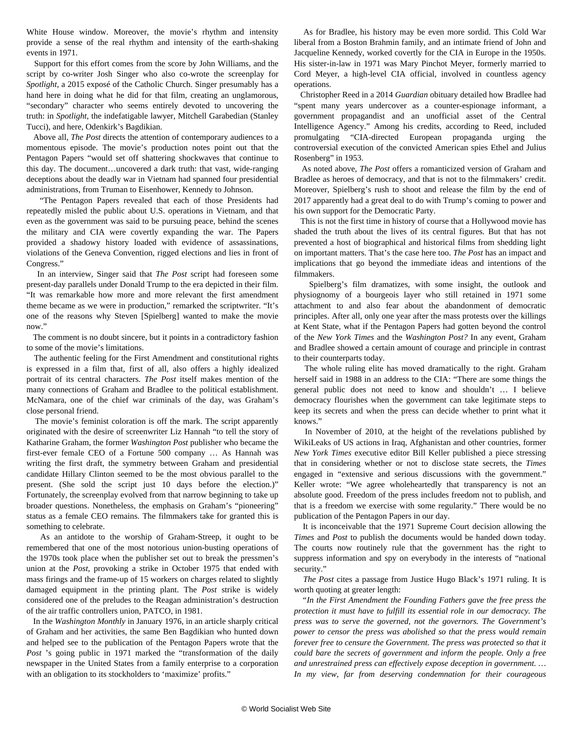White House window. Moreover, the movie's rhythm and intensity provide a sense of the real rhythm and intensity of the earth-shaking events in 1971.

 Support for this effort comes from the score by John Williams, and the script by co-writer Josh Singer who also co-wrote the screenplay for *Spotlight*, a 2015 exposé of the Catholic Church. Singer presumably has a hand here in doing what he did for that film, creating an unglamorous, "secondary" character who seems entirely devoted to uncovering the truth: in *Spotlight*, the indefatigable lawyer, Mitchell Garabedian (Stanley Tucci), and here, Odenkirk's Bagdikian.

 Above all, *The Post* directs the attention of contemporary audiences to a momentous episode. The movie's production notes point out that the Pentagon Papers "would set off shattering shockwaves that continue to this day. The document…uncovered a dark truth: that vast, wide-ranging deceptions about the deadly war in Vietnam had spanned four presidential administrations, from Truman to Eisenhower, Kennedy to Johnson.

 "The Pentagon Papers revealed that each of those Presidents had repeatedly misled the public about U.S. operations in Vietnam, and that even as the government was said to be pursuing peace, behind the scenes the military and CIA were covertly expanding the war. The Papers provided a shadowy history loaded with evidence of assassinations, violations of the Geneva Convention, rigged elections and lies in front of Congress."

 In an interview, Singer said that *The Post* script had foreseen some present-day parallels under Donald Trump to the era depicted in their film. "It was remarkable how more and more relevant the first amendment theme became as we were in production," remarked the scriptwriter. "It's one of the reasons why Steven [Spielberg] wanted to make the movie now."

 The comment is no doubt sincere, but it points in a contradictory fashion to some of the movie's limitations.

 The authentic feeling for the First Amendment and constitutional rights is expressed in a film that, first of all, also offers a highly idealized portrait of its central characters. *The Post* itself makes mention of the many connections of Graham and Bradlee to the political establishment. McNamara, one of the chief war criminals of the day, was Graham's close personal friend.

 The movie's feminist coloration is off the mark. The script apparently originated with the desire of screenwriter Liz Hannah "to tell the story of Katharine Graham, the former *Washington Post* publisher who became the first-ever female CEO of a Fortune 500 company … As Hannah was writing the first draft, the symmetry between Graham and presidential candidate Hillary Clinton seemed to be the most obvious parallel to the present. (She sold the script just 10 days before the election.)" Fortunately, the screenplay evolved from that narrow beginning to take up broader questions. Nonetheless, the emphasis on Graham's "pioneering" status as a female CEO remains. The filmmakers take for granted this is something to celebrate.

 As an antidote to the worship of Graham-Streep, it ought to be remembered that one of the most notorious union-busting operations of the 1970s took place when the publisher set out to break the pressmen's union at the *Post*, provoking a strike in October 1975 that ended with mass firings and the frame-up of 15 workers on charges related to slightly damaged equipment in the printing plant. The *Post* strike is widely considered one of the preludes to the Reagan administration's destruction of the air traffic controllers union, PATCO, in 1981.

 In the *Washington Monthly* in January 1976, in an article sharply critical of Graham and her activities, the same Ben Bagdikian who hunted down and helped see to the publication of the Pentagon Papers wrote that the Post 's going public in 1971 marked the "transformation of the daily newspaper in the United States from a family enterprise to a corporation with an obligation to its stockholders to 'maximize' profits."

 As for Bradlee, his history may be even more sordid. This Cold War liberal from a Boston Brahmin family, and an intimate friend of John and Jacqueline Kennedy, worked covertly for the CIA in Europe in the 1950s. His sister-in-law in 1971 was Mary Pinchot Meyer, formerly married to Cord Meyer, a high-level CIA official, involved in countless agency operations.

 Christopher Reed in a 2014 *Guardian* obituary detailed how Bradlee had "spent many years undercover as a counter-espionage informant, a government propagandist and an unofficial asset of the Central Intelligence Agency." Among his credits, according to Reed, included promulgating "CIA-directed European propaganda urging the controversial execution of the convicted American spies Ethel and Julius Rosenberg" in 1953.

 As noted above, *The Post* offers a romanticized version of Graham and Bradlee as heroes of democracy, and that is not to the filmmakers' credit. Moreover, Spielberg's rush to shoot and release the film by the end of 2017 apparently had a great deal to do with Trump's coming to power and his own support for the Democratic Party.

 This is not the first time in history of course that a Hollywood movie has shaded the truth about the lives of its central figures. But that has not prevented a host of biographical and historical films from shedding light on important matters. That's the case here too. *The Post* has an impact and implications that go beyond the immediate ideas and intentions of the filmmakers.

 Spielberg's film dramatizes, with some insight, the outlook and physiognomy of a bourgeois layer who still retained in 1971 some attachment to and also fear about the abandonment of democratic principles. After all, only one year after the mass protests over the killings at Kent State, what if the Pentagon Papers had gotten beyond the control of the *New York Times* and the *Washington Post?* In any event, Graham and Bradlee showed a certain amount of courage and principle in contrast to their counterparts today.

 The whole ruling elite has moved dramatically to the right. Graham herself said in 1988 in an address to the CIA: "There are some things the general public does not need to know and shouldn't … I believe democracy flourishes when the government can take legitimate steps to keep its secrets and when the press can decide whether to print what it knows."

 In November of 2010, at the height of the revelations published by WikiLeaks of US actions in Iraq, Afghanistan and other countries, former *New York Times* executive editor Bill Keller published a piece stressing that in considering whether or not to disclose state secrets, the *Times* engaged in "extensive and serious discussions with the government." Keller wrote: "We agree wholeheartedly that transparency is not an absolute good. Freedom of the press includes freedom not to publish, and that is a freedom we exercise with some regularity." There would be no publication of the Pentagon Papers in our day.

 It is inconceivable that the 1971 Supreme Court decision allowing the *Times* and *Post* to publish the documents would be handed down today. The courts now routinely rule that the government has the right to suppress information and spy on everybody in the interests of "national security."

 *The Post* cites a passage from Justice Hugo Black's 1971 ruling. It is worth quoting at greater length:

 *"In the First Amendment the Founding Fathers gave the free press the protection it must have to fulfill its essential role in our democracy. The press was to serve the governed, not the governors. The Government's power to censor the press was abolished so that the press would remain forever free to censure the Government. The press was protected so that it could bare the secrets of government and inform the people. Only a free and unrestrained press can effectively expose deception in government. … In my view, far from deserving condemnation for their courageous*